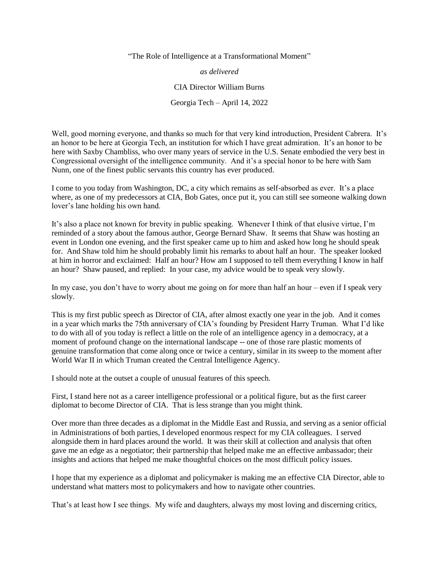"The Role of Intelligence at a Transformational Moment"

*as delivered*

CIA Director William Burns

Georgia Tech – April 14, 2022

Well, good morning everyone, and thanks so much for that very kind introduction, President Cabrera. It's an honor to be here at Georgia Tech, an institution for which I have great admiration. It's an honor to be here with Saxby Chambliss, who over many years of service in the U.S. Senate embodied the very best in Congressional oversight of the intelligence community. And it's a special honor to be here with Sam Nunn, one of the finest public servants this country has ever produced.

I come to you today from Washington, DC, a city which remains as self-absorbed as ever. It's a place where, as one of my predecessors at CIA, Bob Gates, once put it, you can still see someone walking down lover's lane holding his own hand.

It's also a place not known for brevity in public speaking. Whenever I think of that elusive virtue, I'm reminded of a story about the famous author, George Bernard Shaw. It seems that Shaw was hosting an event in London one evening, and the first speaker came up to him and asked how long he should speak for. And Shaw told him he should probably limit his remarks to about half an hour. The speaker looked at him in horror and exclaimed: Half an hour? How am I supposed to tell them everything I know in half an hour? Shaw paused, and replied: In your case, my advice would be to speak very slowly.

In my case, you don't have to worry about me going on for more than half an hour – even if I speak very slowly.

This is my first public speech as Director of CIA, after almost exactly one year in the job. And it comes in a year which marks the 75th anniversary of CIA's founding by President Harry Truman. What I'd like to do with all of you today is reflect a little on the role of an intelligence agency in a democracy, at a moment of profound change on the international landscape -- one of those rare plastic moments of genuine transformation that come along once or twice a century, similar in its sweep to the moment after World War II in which Truman created the Central Intelligence Agency.

I should note at the outset a couple of unusual features of this speech.

First, I stand here not as a career intelligence professional or a political figure, but as the first career diplomat to become Director of CIA. That is less strange than you might think.

Over more than three decades as a diplomat in the Middle East and Russia, and serving as a senior official in Administrations of both parties, I developed enormous respect for my CIA colleagues. I served alongside them in hard places around the world. It was their skill at collection and analysis that often gave me an edge as a negotiator; their partnership that helped make me an effective ambassador; their insights and actions that helped me make thoughtful choices on the most difficult policy issues.

I hope that my experience as a diplomat and policymaker is making me an effective CIA Director, able to understand what matters most to policymakers and how to navigate other countries.

That's at least how I see things. My wife and daughters, always my most loving and discerning critics,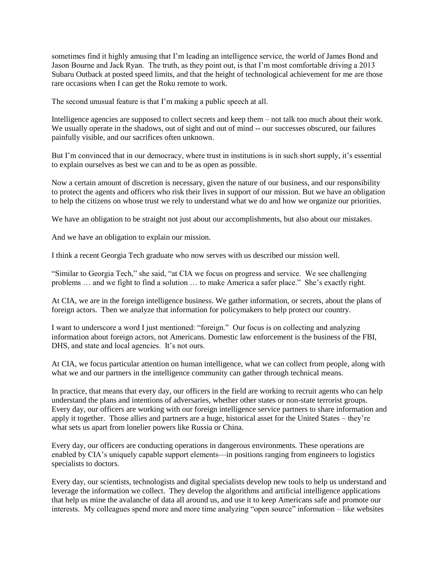sometimes find it highly amusing that I'm leading an intelligence service, the world of James Bond and Jason Bourne and Jack Ryan. The truth, as they point out, is that I'm most comfortable driving a 2013 Subaru Outback at posted speed limits, and that the height of technological achievement for me are those rare occasions when I can get the Roku remote to work.

The second unusual feature is that I'm making a public speech at all.

Intelligence agencies are supposed to collect secrets and keep them – not talk too much about their work. We usually operate in the shadows, out of sight and out of mind -- our successes obscured, our failures painfully visible, and our sacrifices often unknown.

But I'm convinced that in our democracy, where trust in institutions is in such short supply, it's essential to explain ourselves as best we can and to be as open as possible.

Now a certain amount of discretion is necessary, given the nature of our business, and our responsibility to protect the agents and officers who risk their lives in support of our mission. But we have an obligation to help the citizens on whose trust we rely to understand what we do and how we organize our priorities.

We have an obligation to be straight not just about our accomplishments, but also about our mistakes.

And we have an obligation to explain our mission.

I think a recent Georgia Tech graduate who now serves with us described our mission well.

"Similar to Georgia Tech," she said, "at CIA we focus on progress and service. We see challenging problems … and we fight to find a solution … to make America a safer place." She's exactly right.

At CIA, we are in the foreign intelligence business. We gather information, or secrets, about the plans of foreign actors. Then we analyze that information for policymakers to help protect our country.

I want to underscore a word I just mentioned: "foreign." Our focus is on collecting and analyzing information about foreign actors, not Americans. Domestic law enforcement is the business of the FBI, DHS, and state and local agencies. It's not ours.

At CIA, we focus particular attention on human intelligence, what we can collect from people, along with what we and our partners in the intelligence community can gather through technical means.

In practice, that means that every day, our officers in the field are working to recruit agents who can help understand the plans and intentions of adversaries, whether other states or non-state terrorist groups. Every day, our officers are working with our foreign intelligence service partners to share information and apply it together. Those allies and partners are a huge, historical asset for the United States – they're what sets us apart from lonelier powers like Russia or China.

Every day, our officers are conducting operations in dangerous environments. These operations are enabled by CIA's uniquely capable support elements—in positions ranging from engineers to logistics specialists to doctors.

Every day, our scientists, technologists and digital specialists develop new tools to help us understand and leverage the information we collect. They develop the algorithms and artificial intelligence applications that help us mine the avalanche of data all around us, and use it to keep Americans safe and promote our interests. My colleagues spend more and more time analyzing "open source" information – like websites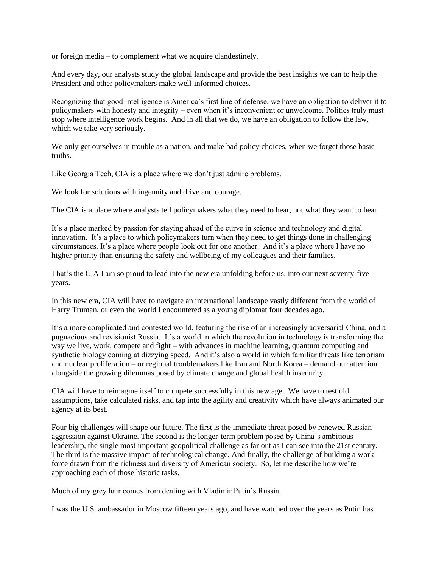or foreign media – to complement what we acquire clandestinely.

And every day, our analysts study the global landscape and provide the best insights we can to help the President and other policymakers make well-informed choices.

Recognizing that good intelligence is America's first line of defense, we have an obligation to deliver it to policymakers with honesty and integrity – even when it's inconvenient or unwelcome. Politics truly must stop where intelligence work begins. And in all that we do, we have an obligation to follow the law, which we take very seriously.

We only get ourselves in trouble as a nation, and make bad policy choices, when we forget those basic truths.

Like Georgia Tech, CIA is a place where we don't just admire problems.

We look for solutions with ingenuity and drive and courage.

The CIA is a place where analysts tell policymakers what they need to hear, not what they want to hear.

It's a place marked by passion for staying ahead of the curve in science and technology and digital innovation. It's a place to which policymakers turn when they need to get things done in challenging circumstances. It's a place where people look out for one another. And it's a place where I have no higher priority than ensuring the safety and wellbeing of my colleagues and their families.

That's the CIA I am so proud to lead into the new era unfolding before us, into our next seventy-five years.

In this new era, CIA will have to navigate an international landscape vastly different from the world of Harry Truman, or even the world I encountered as a young diplomat four decades ago.

It's a more complicated and contested world, featuring the rise of an increasingly adversarial China, and a pugnacious and revisionist Russia. It's a world in which the revolution in technology is transforming the way we live, work, compete and fight – with advances in machine learning, quantum computing and synthetic biology coming at dizzying speed. And it's also a world in which familiar threats like terrorism and nuclear proliferation – or regional troublemakers like Iran and North Korea – demand our attention alongside the growing dilemmas posed by climate change and global health insecurity.

CIA will have to reimagine itself to compete successfully in this new age. We have to test old assumptions, take calculated risks, and tap into the agility and creativity which have always animated our agency at its best.

Four big challenges will shape our future. The first is the immediate threat posed by renewed Russian aggression against Ukraine. The second is the longer-term problem posed by China's ambitious leadership, the single most important geopolitical challenge as far out as I can see into the 21st century. The third is the massive impact of technological change. And finally, the challenge of building a work force drawn from the richness and diversity of American society. So, let me describe how we're approaching each of those historic tasks.

Much of my grey hair comes from dealing with Vladimir Putin's Russia.

I was the U.S. ambassador in Moscow fifteen years ago, and have watched over the years as Putin has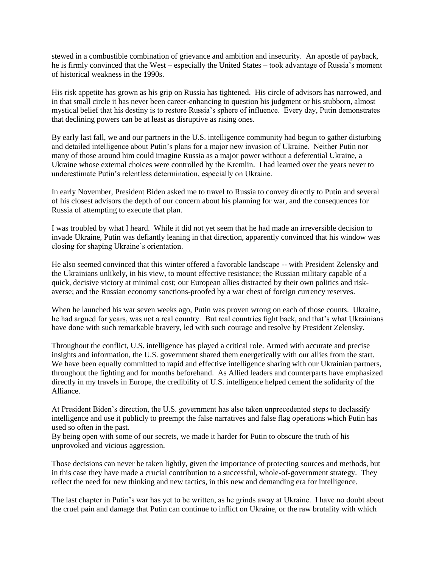stewed in a combustible combination of grievance and ambition and insecurity. An apostle of payback, he is firmly convinced that the West – especially the United States – took advantage of Russia's moment of historical weakness in the 1990s.

His risk appetite has grown as his grip on Russia has tightened. His circle of advisors has narrowed, and in that small circle it has never been career-enhancing to question his judgment or his stubborn, almost mystical belief that his destiny is to restore Russia's sphere of influence. Every day, Putin demonstrates that declining powers can be at least as disruptive as rising ones.

By early last fall, we and our partners in the U.S. intelligence community had begun to gather disturbing and detailed intelligence about Putin's plans for a major new invasion of Ukraine. Neither Putin nor many of those around him could imagine Russia as a major power without a deferential Ukraine, a Ukraine whose external choices were controlled by the Kremlin. I had learned over the years never to underestimate Putin's relentless determination, especially on Ukraine.

In early November, President Biden asked me to travel to Russia to convey directly to Putin and several of his closest advisors the depth of our concern about his planning for war, and the consequences for Russia of attempting to execute that plan.

I was troubled by what I heard. While it did not yet seem that he had made an irreversible decision to invade Ukraine, Putin was defiantly leaning in that direction, apparently convinced that his window was closing for shaping Ukraine's orientation.

He also seemed convinced that this winter offered a favorable landscape -- with President Zelensky and the Ukrainians unlikely, in his view, to mount effective resistance; the Russian military capable of a quick, decisive victory at minimal cost; our European allies distracted by their own politics and riskaverse; and the Russian economy sanctions-proofed by a war chest of foreign currency reserves.

When he launched his war seven weeks ago, Putin was proven wrong on each of those counts. Ukraine, he had argued for years, was not a real country. But real countries fight back, and that's what Ukrainians have done with such remarkable bravery, led with such courage and resolve by President Zelensky.

Throughout the conflict, U.S. intelligence has played a critical role. Armed with accurate and precise insights and information, the U.S. government shared them energetically with our allies from the start. We have been equally committed to rapid and effective intelligence sharing with our Ukrainian partners, throughout the fighting and for months beforehand. As Allied leaders and counterparts have emphasized directly in my travels in Europe, the credibility of U.S. intelligence helped cement the solidarity of the Alliance.

At President Biden's direction, the U.S. government has also taken unprecedented steps to declassify intelligence and use it publicly to preempt the false narratives and false flag operations which Putin has used so often in the past.

By being open with some of our secrets, we made it harder for Putin to obscure the truth of his unprovoked and vicious aggression.

Those decisions can never be taken lightly, given the importance of protecting sources and methods, but in this case they have made a crucial contribution to a successful, whole-of-government strategy. They reflect the need for new thinking and new tactics, in this new and demanding era for intelligence.

The last chapter in Putin's war has yet to be written, as he grinds away at Ukraine. I have no doubt about the cruel pain and damage that Putin can continue to inflict on Ukraine, or the raw brutality with which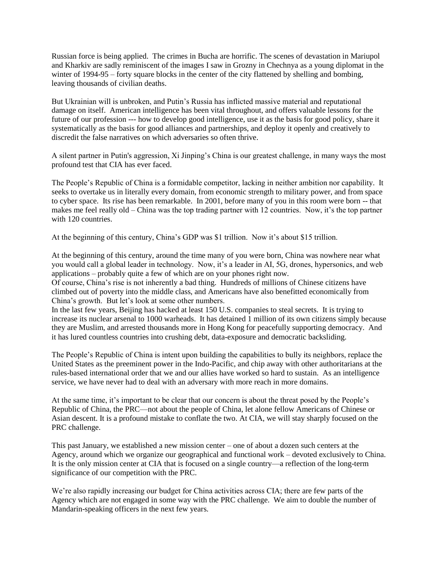Russian force is being applied. The crimes in Bucha are horrific. The scenes of devastation in Mariupol and Kharkiv are sadly reminiscent of the images I saw in Grozny in Chechnya as a young diplomat in the winter of 1994-95 – forty square blocks in the center of the city flattened by shelling and bombing, leaving thousands of civilian deaths.

But Ukrainian will is unbroken, and Putin's Russia has inflicted massive material and reputational damage on itself. American intelligence has been vital throughout, and offers valuable lessons for the future of our profession --- how to develop good intelligence, use it as the basis for good policy, share it systematically as the basis for good alliances and partnerships, and deploy it openly and creatively to discredit the false narratives on which adversaries so often thrive.

A silent partner in Putin's aggression, Xi Jinping's China is our greatest challenge, in many ways the most profound test that CIA has ever faced.

The People's Republic of China is a formidable competitor, lacking in neither ambition nor capability. It seeks to overtake us in literally every domain, from economic strength to military power, and from space to cyber space. Its rise has been remarkable. In 2001, before many of you in this room were born -- that makes me feel really old – China was the top trading partner with 12 countries. Now, it's the top partner with 120 countries.

At the beginning of this century, China's GDP was \$1 trillion. Now it's about \$15 trillion.

At the beginning of this century, around the time many of you were born, China was nowhere near what you would call a global leader in technology. Now, it's a leader in AI, 5G, drones, hypersonics, and web applications – probably quite a few of which are on your phones right now.

Of course, China's rise is not inherently a bad thing. Hundreds of millions of Chinese citizens have climbed out of poverty into the middle class, and Americans have also benefitted economically from China's growth. But let's look at some other numbers.

In the last few years, Beijing has hacked at least 150 U.S. companies to steal secrets. It is trying to increase its nuclear arsenal to 1000 warheads. It has detained 1 million of its own citizens simply because they are Muslim, and arrested thousands more in Hong Kong for peacefully supporting democracy. And it has lured countless countries into crushing debt, data-exposure and democratic backsliding.

The People's Republic of China is intent upon building the capabilities to bully its neighbors, replace the United States as the preeminent power in the Indo-Pacific, and chip away with other authoritarians at the rules-based international order that we and our allies have worked so hard to sustain. As an intelligence service, we have never had to deal with an adversary with more reach in more domains.

At the same time, it's important to be clear that our concern is about the threat posed by the People's Republic of China, the PRC—not about the people of China, let alone fellow Americans of Chinese or Asian descent. It is a profound mistake to conflate the two. At CIA, we will stay sharply focused on the PRC challenge.

This past January, we established a new mission center – one of about a dozen such centers at the Agency, around which we organize our geographical and functional work – devoted exclusively to China. It is the only mission center at CIA that is focused on a single country—a reflection of the long-term significance of our competition with the PRC.

We're also rapidly increasing our budget for China activities across CIA; there are few parts of the Agency which are not engaged in some way with the PRC challenge. We aim to double the number of Mandarin-speaking officers in the next few years.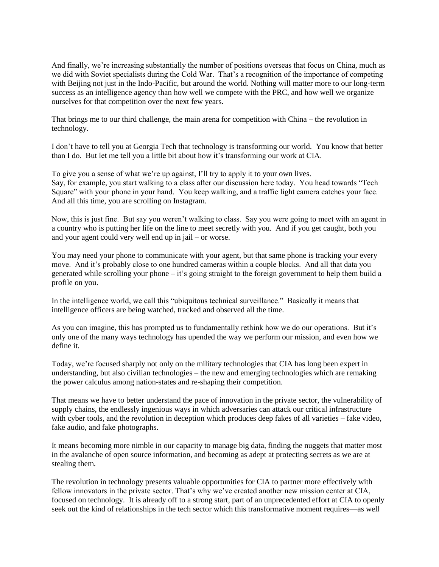And finally, we're increasing substantially the number of positions overseas that focus on China, much as we did with Soviet specialists during the Cold War. That's a recognition of the importance of competing with Beijing not just in the Indo-Pacific, but around the world. Nothing will matter more to our long-term success as an intelligence agency than how well we compete with the PRC, and how well we organize ourselves for that competition over the next few years.

That brings me to our third challenge, the main arena for competition with China – the revolution in technology.

I don't have to tell you at Georgia Tech that technology is transforming our world. You know that better than I do. But let me tell you a little bit about how it's transforming our work at CIA.

To give you a sense of what we're up against, I'll try to apply it to your own lives. Say, for example, you start walking to a class after our discussion here today. You head towards "Tech Square" with your phone in your hand. You keep walking, and a traffic light camera catches your face. And all this time, you are scrolling on Instagram.

Now, this is just fine. But say you weren't walking to class. Say you were going to meet with an agent in a country who is putting her life on the line to meet secretly with you. And if you get caught, both you and your agent could very well end up in jail – or worse.

You may need your phone to communicate with your agent, but that same phone is tracking your every move. And it's probably close to one hundred cameras within a couple blocks. And all that data you generated while scrolling your phone – it's going straight to the foreign government to help them build a profile on you.

In the intelligence world, we call this "ubiquitous technical surveillance." Basically it means that intelligence officers are being watched, tracked and observed all the time.

As you can imagine, this has prompted us to fundamentally rethink how we do our operations. But it's only one of the many ways technology has upended the way we perform our mission, and even how we define it.

Today, we're focused sharply not only on the military technologies that CIA has long been expert in understanding, but also civilian technologies – the new and emerging technologies which are remaking the power calculus among nation-states and re-shaping their competition.

That means we have to better understand the pace of innovation in the private sector, the vulnerability of supply chains, the endlessly ingenious ways in which adversaries can attack our critical infrastructure with cyber tools, and the revolution in deception which produces deep fakes of all varieties – fake video, fake audio, and fake photographs.

It means becoming more nimble in our capacity to manage big data, finding the nuggets that matter most in the avalanche of open source information, and becoming as adept at protecting secrets as we are at stealing them.

The revolution in technology presents valuable opportunities for CIA to partner more effectively with fellow innovators in the private sector. That's why we've created another new mission center at CIA, focused on technology. It is already off to a strong start, part of an unprecedented effort at CIA to openly seek out the kind of relationships in the tech sector which this transformative moment requires—as well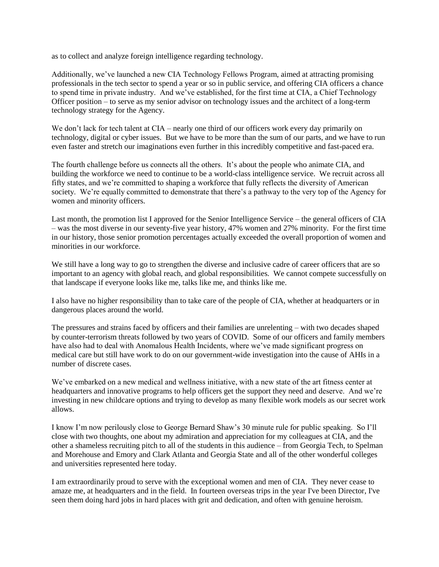as to collect and analyze foreign intelligence regarding technology.

Additionally, we've launched a new CIA Technology Fellows Program, aimed at attracting promising professionals in the tech sector to spend a year or so in public service, and offering CIA officers a chance to spend time in private industry. And we've established, for the first time at CIA, a Chief Technology Officer position – to serve as my senior advisor on technology issues and the architect of a long-term technology strategy for the Agency.

We don't lack for tech talent at CIA – nearly one third of our officers work every day primarily on technology, digital or cyber issues. But we have to be more than the sum of our parts, and we have to run even faster and stretch our imaginations even further in this incredibly competitive and fast-paced era.

The fourth challenge before us connects all the others. It's about the people who animate CIA, and building the workforce we need to continue to be a world-class intelligence service. We recruit across all fifty states, and we're committed to shaping a workforce that fully reflects the diversity of American society. We're equally committed to demonstrate that there's a pathway to the very top of the Agency for women and minority officers.

Last month, the promotion list I approved for the Senior Intelligence Service – the general officers of CIA – was the most diverse in our seventy-five year history, 47% women and 27% minority. For the first time in our history, those senior promotion percentages actually exceeded the overall proportion of women and minorities in our workforce.

We still have a long way to go to strengthen the diverse and inclusive cadre of career officers that are so important to an agency with global reach, and global responsibilities. We cannot compete successfully on that landscape if everyone looks like me, talks like me, and thinks like me.

I also have no higher responsibility than to take care of the people of CIA, whether at headquarters or in dangerous places around the world.

The pressures and strains faced by officers and their families are unrelenting – with two decades shaped by counter-terrorism threats followed by two years of COVID. Some of our officers and family members have also had to deal with Anomalous Health Incidents, where we've made significant progress on medical care but still have work to do on our government-wide investigation into the cause of AHIs in a number of discrete cases.

We've embarked on a new medical and wellness initiative, with a new state of the art fitness center at headquarters and innovative programs to help officers get the support they need and deserve. And we're investing in new childcare options and trying to develop as many flexible work models as our secret work allows.

I know I'm now perilously close to George Bernard Shaw's 30 minute rule for public speaking. So I'll close with two thoughts, one about my admiration and appreciation for my colleagues at CIA, and the other a shameless recruiting pitch to all of the students in this audience – from Georgia Tech, to Spelman and Morehouse and Emory and Clark Atlanta and Georgia State and all of the other wonderful colleges and universities represented here today.

I am extraordinarily proud to serve with the exceptional women and men of CIA. They never cease to amaze me, at headquarters and in the field. In fourteen overseas trips in the year I've been Director, I've seen them doing hard jobs in hard places with grit and dedication, and often with genuine heroism.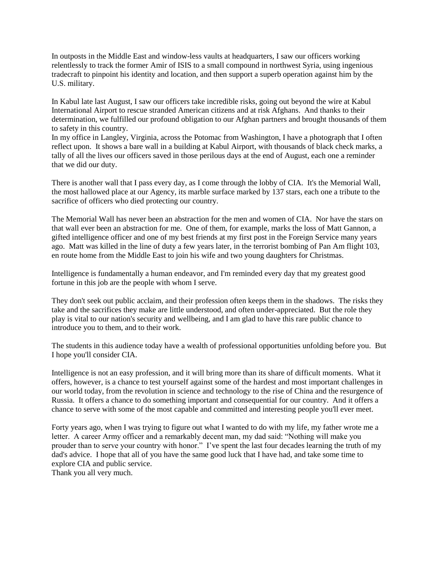In outposts in the Middle East and window-less vaults at headquarters, I saw our officers working relentlessly to track the former Amir of ISIS to a small compound in northwest Syria, using ingenious tradecraft to pinpoint his identity and location, and then support a superb operation against him by the U.S. military.

In Kabul late last August, I saw our officers take incredible risks, going out beyond the wire at Kabul International Airport to rescue stranded American citizens and at risk Afghans. And thanks to their determination, we fulfilled our profound obligation to our Afghan partners and brought thousands of them to safety in this country.

In my office in Langley, Virginia, across the Potomac from Washington, I have a photograph that I often reflect upon. It shows a bare wall in a building at Kabul Airport, with thousands of black check marks, a tally of all the lives our officers saved in those perilous days at the end of August, each one a reminder that we did our duty.

There is another wall that I pass every day, as I come through the lobby of CIA. It's the Memorial Wall, the most hallowed place at our Agency, its marble surface marked by 137 stars, each one a tribute to the sacrifice of officers who died protecting our country.

The Memorial Wall has never been an abstraction for the men and women of CIA. Nor have the stars on that wall ever been an abstraction for me. One of them, for example, marks the loss of Matt Gannon, a gifted intelligence officer and one of my best friends at my first post in the Foreign Service many years ago. Matt was killed in the line of duty a few years later, in the terrorist bombing of Pan Am flight 103, en route home from the Middle East to join his wife and two young daughters for Christmas.

Intelligence is fundamentally a human endeavor, and I'm reminded every day that my greatest good fortune in this job are the people with whom I serve.

They don't seek out public acclaim, and their profession often keeps them in the shadows. The risks they take and the sacrifices they make are little understood, and often under-appreciated. But the role they play is vital to our nation's security and wellbeing, and I am glad to have this rare public chance to introduce you to them, and to their work.

The students in this audience today have a wealth of professional opportunities unfolding before you. But I hope you'll consider CIA.

Intelligence is not an easy profession, and it will bring more than its share of difficult moments. What it offers, however, is a chance to test yourself against some of the hardest and most important challenges in our world today, from the revolution in science and technology to the rise of China and the resurgence of Russia. It offers a chance to do something important and consequential for our country. And it offers a chance to serve with some of the most capable and committed and interesting people you'll ever meet.

Forty years ago, when I was trying to figure out what I wanted to do with my life, my father wrote me a letter. A career Army officer and a remarkably decent man, my dad said: "Nothing will make you prouder than to serve your country with honor." I've spent the last four decades learning the truth of my dad's advice. I hope that all of you have the same good luck that I have had, and take some time to explore CIA and public service.

Thank you all very much.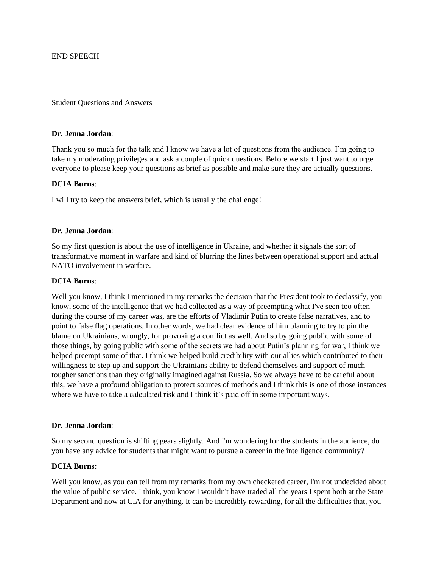#### Student Questions and Answers

### **Dr. Jenna Jordan**:

Thank you so much for the talk and I know we have a lot of questions from the audience. I'm going to take my moderating privileges and ask a couple of quick questions. Before we start I just want to urge everyone to please keep your questions as brief as possible and make sure they are actually questions.

### **DCIA Burns**:

I will try to keep the answers brief, which is usually the challenge!

### **Dr. Jenna Jordan**:

So my first question is about the use of intelligence in Ukraine, and whether it signals the sort of transformative moment in warfare and kind of blurring the lines between operational support and actual NATO involvement in warfare.

### **DCIA Burns**:

Well you know, I think I mentioned in my remarks the decision that the President took to declassify, you know, some of the intelligence that we had collected as a way of preempting what I've seen too often during the course of my career was, are the efforts of Vladimir Putin to create false narratives, and to point to false flag operations. In other words, we had clear evidence of him planning to try to pin the blame on Ukrainians, wrongly, for provoking a conflict as well. And so by going public with some of those things, by going public with some of the secrets we had about Putin's planning for war, I think we helped preempt some of that. I think we helped build credibility with our allies which contributed to their willingness to step up and support the Ukrainians ability to defend themselves and support of much tougher sanctions than they originally imagined against Russia. So we always have to be careful about this, we have a profound obligation to protect sources of methods and I think this is one of those instances where we have to take a calculated risk and I think it's paid off in some important ways.

#### **Dr. Jenna Jordan**:

So my second question is shifting gears slightly. And I'm wondering for the students in the audience, do you have any advice for students that might want to pursue a career in the intelligence community?

## **DCIA Burns:**

Well you know, as you can tell from my remarks from my own checkered career, I'm not undecided about the value of public service. I think, you know I wouldn't have traded all the years I spent both at the State Department and now at CIA for anything. It can be incredibly rewarding, for all the difficulties that, you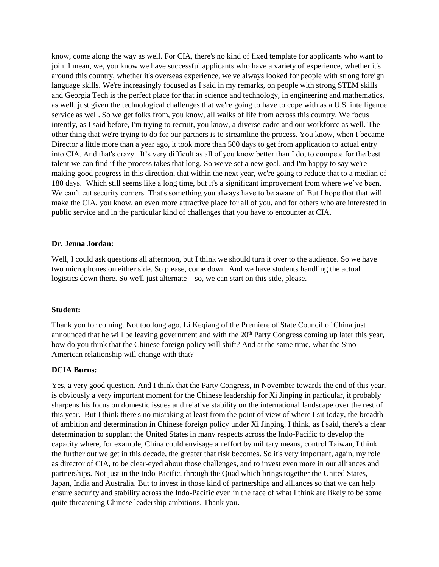know, come along the way as well. For CIA, there's no kind of fixed template for applicants who want to join. I mean, we, you know we have successful applicants who have a variety of experience, whether it's around this country, whether it's overseas experience, we've always looked for people with strong foreign language skills. We're increasingly focused as I said in my remarks, on people with strong STEM skills and Georgia Tech is the perfect place for that in science and technology, in engineering and mathematics, as well, just given the technological challenges that we're going to have to cope with as a U.S. intelligence service as well. So we get folks from, you know, all walks of life from across this country. We focus intently, as I said before, I'm trying to recruit, you know, a diverse cadre and our workforce as well. The other thing that we're trying to do for our partners is to streamline the process. You know, when I became Director a little more than a year ago, it took more than 500 days to get from application to actual entry into CIA. And that's crazy. It's very difficult as all of you know better than I do, to compete for the best talent we can find if the process takes that long. So we've set a new goal, and I'm happy to say we're making good progress in this direction, that within the next year, we're going to reduce that to a median of 180 days. Which still seems like a long time, but it's a significant improvement from where we've been. We can't cut security corners. That's something you always have to be aware of. But I hope that that will make the CIA, you know, an even more attractive place for all of you, and for others who are interested in public service and in the particular kind of challenges that you have to encounter at CIA.

## **Dr. Jenna Jordan:**

Well, I could ask questions all afternoon, but I think we should turn it over to the audience. So we have two microphones on either side. So please, come down. And we have students handling the actual logistics down there. So we'll just alternate—so, we can start on this side, please.

#### **Student:**

Thank you for coming. Not too long ago, Li Keqiang of the Premiere of State Council of China just announced that he will be leaving government and with the 20<sup>th</sup> Party Congress coming up later this year, how do you think that the Chinese foreign policy will shift? And at the same time, what the Sino-American relationship will change with that?

### **DCIA Burns:**

Yes, a very good question. And I think that the Party Congress, in November towards the end of this year, is obviously a very important moment for the Chinese leadership for Xi Jinping in particular, it probably sharpens his focus on domestic issues and relative stability on the international landscape over the rest of this year. But I think there's no mistaking at least from the point of view of where I sit today, the breadth of ambition and determination in Chinese foreign policy under Xi Jinping. I think, as I said, there's a clear determination to supplant the United States in many respects across the Indo-Pacific to develop the capacity where, for example, China could envisage an effort by military means, control Taiwan, I think the further out we get in this decade, the greater that risk becomes. So it's very important, again, my role as director of CIA, to be clear-eyed about those challenges, and to invest even more in our alliances and partnerships. Not just in the Indo-Pacific, through the Quad which brings together the United States, Japan, India and Australia. But to invest in those kind of partnerships and alliances so that we can help ensure security and stability across the Indo-Pacific even in the face of what I think are likely to be some quite threatening Chinese leadership ambitions. Thank you.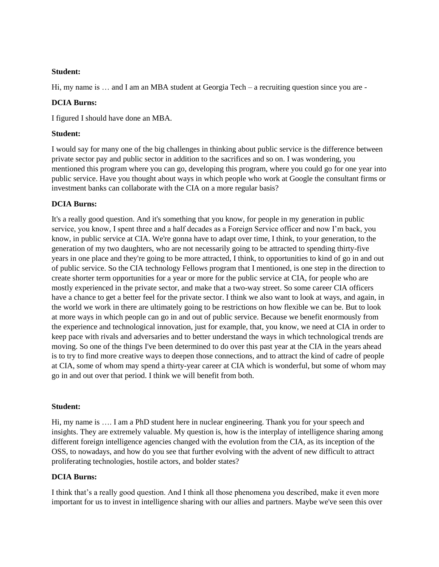# **Student:**

Hi, my name is … and I am an MBA student at Georgia Tech – a recruiting question since you are -

# **DCIA Burns:**

I figured I should have done an MBA.

# **Student:**

I would say for many one of the big challenges in thinking about public service is the difference between private sector pay and public sector in addition to the sacrifices and so on. I was wondering, you mentioned this program where you can go, developing this program, where you could go for one year into public service. Have you thought about ways in which people who work at Google the consultant firms or investment banks can collaborate with the CIA on a more regular basis?

# **DCIA Burns:**

It's a really good question. And it's something that you know, for people in my generation in public service, you know, I spent three and a half decades as a Foreign Service officer and now I'm back, you know, in public service at CIA. We're gonna have to adapt over time, I think, to your generation, to the generation of my two daughters, who are not necessarily going to be attracted to spending thirty-five years in one place and they're going to be more attracted, I think, to opportunities to kind of go in and out of public service. So the CIA technology Fellows program that I mentioned, is one step in the direction to create shorter term opportunities for a year or more for the public service at CIA, for people who are mostly experienced in the private sector, and make that a two-way street. So some career CIA officers have a chance to get a better feel for the private sector. I think we also want to look at ways, and again, in the world we work in there are ultimately going to be restrictions on how flexible we can be. But to look at more ways in which people can go in and out of public service. Because we benefit enormously from the experience and technological innovation, just for example, that, you know, we need at CIA in order to keep pace with rivals and adversaries and to better understand the ways in which technological trends are moving. So one of the things I've been determined to do over this past year at the CIA in the years ahead is to try to find more creative ways to deepen those connections, and to attract the kind of cadre of people at CIA, some of whom may spend a thirty-year career at CIA which is wonderful, but some of whom may go in and out over that period. I think we will benefit from both.

## **Student:**

Hi, my name is …. I am a PhD student here in nuclear engineering. Thank you for your speech and insights. They are extremely valuable. My question is, how is the interplay of intelligence sharing among different foreign intelligence agencies changed with the evolution from the CIA, as its inception of the OSS, to nowadays, and how do you see that further evolving with the advent of new difficult to attract proliferating technologies, hostile actors, and bolder states?

# **DCIA Burns:**

I think that's a really good question. And I think all those phenomena you described, make it even more important for us to invest in intelligence sharing with our allies and partners. Maybe we've seen this over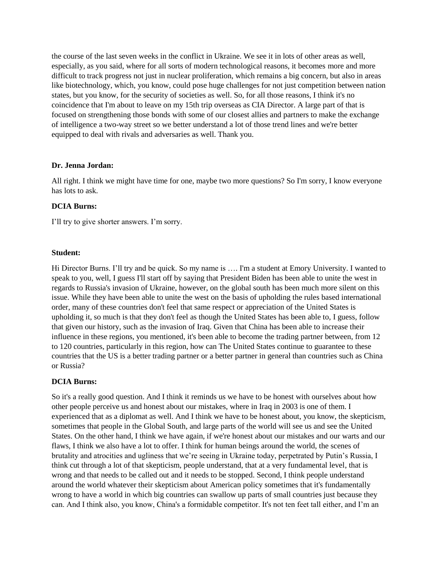the course of the last seven weeks in the conflict in Ukraine. We see it in lots of other areas as well, especially, as you said, where for all sorts of modern technological reasons, it becomes more and more difficult to track progress not just in nuclear proliferation, which remains a big concern, but also in areas like biotechnology, which, you know, could pose huge challenges for not just competition between nation states, but you know, for the security of societies as well. So, for all those reasons, I think it's no coincidence that I'm about to leave on my 15th trip overseas as CIA Director. A large part of that is focused on strengthening those bonds with some of our closest allies and partners to make the exchange of intelligence a two-way street so we better understand a lot of those trend lines and we're better equipped to deal with rivals and adversaries as well. Thank you.

### **Dr. Jenna Jordan:**

All right. I think we might have time for one, maybe two more questions? So I'm sorry, I know everyone has lots to ask.

## **DCIA Burns:**

I'll try to give shorter answers. I'm sorry.

### **Student:**

Hi Director Burns. I'll try and be quick. So my name is .... I'm a student at Emory University. I wanted to speak to you, well, I guess I'll start off by saying that President Biden has been able to unite the west in regards to Russia's invasion of Ukraine, however, on the global south has been much more silent on this issue. While they have been able to unite the west on the basis of upholding the rules based international order, many of these countries don't feel that same respect or appreciation of the United States is upholding it, so much is that they don't feel as though the United States has been able to, I guess, follow that given our history, such as the invasion of Iraq. Given that China has been able to increase their influence in these regions, you mentioned, it's been able to become the trading partner between, from 12 to 120 countries, particularly in this region, how can The United States continue to guarantee to these countries that the US is a better trading partner or a better partner in general than countries such as China or Russia?

#### **DCIA Burns:**

So it's a really good question. And I think it reminds us we have to be honest with ourselves about how other people perceive us and honest about our mistakes, where in Iraq in 2003 is one of them. I experienced that as a diplomat as well. And I think we have to be honest about, you know, the skepticism, sometimes that people in the Global South, and large parts of the world will see us and see the United States. On the other hand, I think we have again, if we're honest about our mistakes and our warts and our flaws, I think we also have a lot to offer. I think for human beings around the world, the scenes of brutality and atrocities and ugliness that we're seeing in Ukraine today, perpetrated by Putin's Russia, I think cut through a lot of that skepticism, people understand, that at a very fundamental level, that is wrong and that needs to be called out and it needs to be stopped. Second, I think people understand around the world whatever their skepticism about American policy sometimes that it's fundamentally wrong to have a world in which big countries can swallow up parts of small countries just because they can. And I think also, you know, China's a formidable competitor. It's not ten feet tall either, and I'm an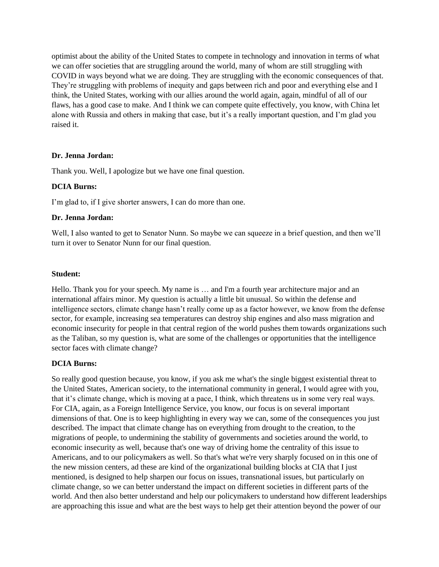optimist about the ability of the United States to compete in technology and innovation in terms of what we can offer societies that are struggling around the world, many of whom are still struggling with COVID in ways beyond what we are doing. They are struggling with the economic consequences of that. They're struggling with problems of inequity and gaps between rich and poor and everything else and I think, the United States, working with our allies around the world again, again, mindful of all of our flaws, has a good case to make. And I think we can compete quite effectively, you know, with China let alone with Russia and others in making that case, but it's a really important question, and I'm glad you raised it.

### **Dr. Jenna Jordan:**

Thank you. Well, I apologize but we have one final question.

## **DCIA Burns:**

I'm glad to, if I give shorter answers, I can do more than one.

#### **Dr. Jenna Jordan:**

Well, I also wanted to get to Senator Nunn. So maybe we can squeeze in a brief question, and then we'll turn it over to Senator Nunn for our final question.

### **Student:**

Hello. Thank you for your speech. My name is … and I'm a fourth year architecture major and an international affairs minor. My question is actually a little bit unusual. So within the defense and intelligence sectors, climate change hasn't really come up as a factor however, we know from the defense sector, for example, increasing sea temperatures can destroy ship engines and also mass migration and economic insecurity for people in that central region of the world pushes them towards organizations such as the Taliban, so my question is, what are some of the challenges or opportunities that the intelligence sector faces with climate change?

#### **DCIA Burns:**

So really good question because, you know, if you ask me what's the single biggest existential threat to the United States, American society, to the international community in general, I would agree with you, that it's climate change, which is moving at a pace, I think, which threatens us in some very real ways. For CIA, again, as a Foreign Intelligence Service, you know, our focus is on several important dimensions of that. One is to keep highlighting in every way we can, some of the consequences you just described. The impact that climate change has on everything from drought to the creation, to the migrations of people, to undermining the stability of governments and societies around the world, to economic insecurity as well, because that's one way of driving home the centrality of this issue to Americans, and to our policymakers as well. So that's what we're very sharply focused on in this one of the new mission centers, ad these are kind of the organizational building blocks at CIA that I just mentioned, is designed to help sharpen our focus on issues, transnational issues, but particularly on climate change, so we can better understand the impact on different societies in different parts of the world. And then also better understand and help our policymakers to understand how different leaderships are approaching this issue and what are the best ways to help get their attention beyond the power of our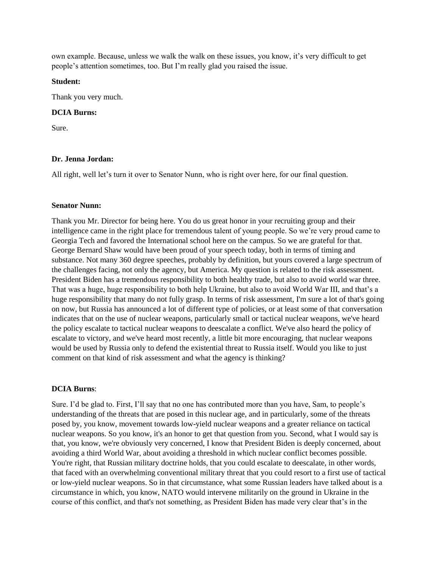own example. Because, unless we walk the walk on these issues, you know, it's very difficult to get people's attention sometimes, too. But I'm really glad you raised the issue.

### **Student:**

Thank you very much.

## **DCIA Burns:**

Sure.

### **Dr. Jenna Jordan:**

All right, well let's turn it over to Senator Nunn, who is right over here, for our final question.

### **Senator Nunn:**

Thank you Mr. Director for being here. You do us great honor in your recruiting group and their intelligence came in the right place for tremendous talent of young people. So we're very proud came to Georgia Tech and favored the International school here on the campus. So we are grateful for that. George Bernard Shaw would have been proud of your speech today, both in terms of timing and substance. Not many 360 degree speeches, probably by definition, but yours covered a large spectrum of the challenges facing, not only the agency, but America. My question is related to the risk assessment. President Biden has a tremendous responsibility to both healthy trade, but also to avoid world war three. That was a huge, huge responsibility to both help Ukraine, but also to avoid World War III, and that's a huge responsibility that many do not fully grasp. In terms of risk assessment, I'm sure a lot of that's going on now, but Russia has announced a lot of different type of policies, or at least some of that conversation indicates that on the use of nuclear weapons, particularly small or tactical nuclear weapons, we've heard the policy escalate to tactical nuclear weapons to deescalate a conflict. We've also heard the policy of escalate to victory, and we've heard most recently, a little bit more encouraging, that nuclear weapons would be used by Russia only to defend the existential threat to Russia itself. Would you like to just comment on that kind of risk assessment and what the agency is thinking?

## **DCIA Burns**:

Sure. I'd be glad to. First, I'll say that no one has contributed more than you have, Sam, to people's understanding of the threats that are posed in this nuclear age, and in particularly, some of the threats posed by, you know, movement towards low-yield nuclear weapons and a greater reliance on tactical nuclear weapons. So you know, it's an honor to get that question from you. Second, what I would say is that, you know, we're obviously very concerned, I know that President Biden is deeply concerned, about avoiding a third World War, about avoiding a threshold in which nuclear conflict becomes possible. You're right, that Russian military doctrine holds, that you could escalate to deescalate, in other words, that faced with an overwhelming conventional military threat that you could resort to a first use of tactical or low-yield nuclear weapons. So in that circumstance, what some Russian leaders have talked about is a circumstance in which, you know, NATO would intervene militarily on the ground in Ukraine in the course of this conflict, and that's not something, as President Biden has made very clear that's in the